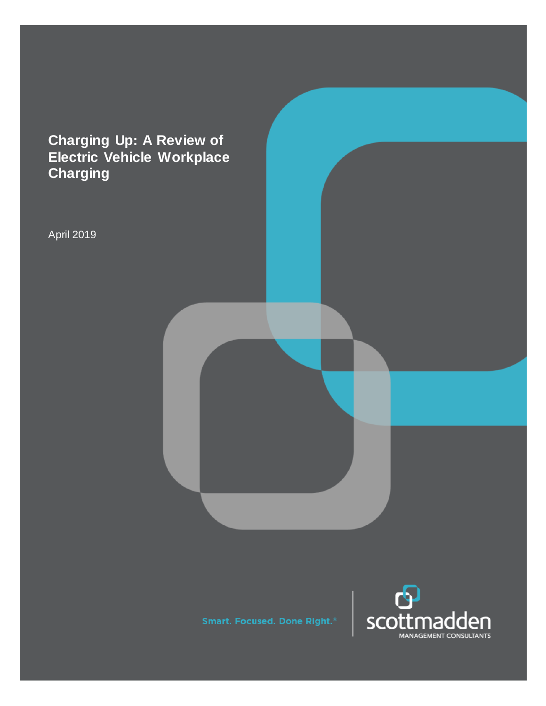# **Charging Up: A Review of Electric Vehicle Workplace Charging**

April 2019

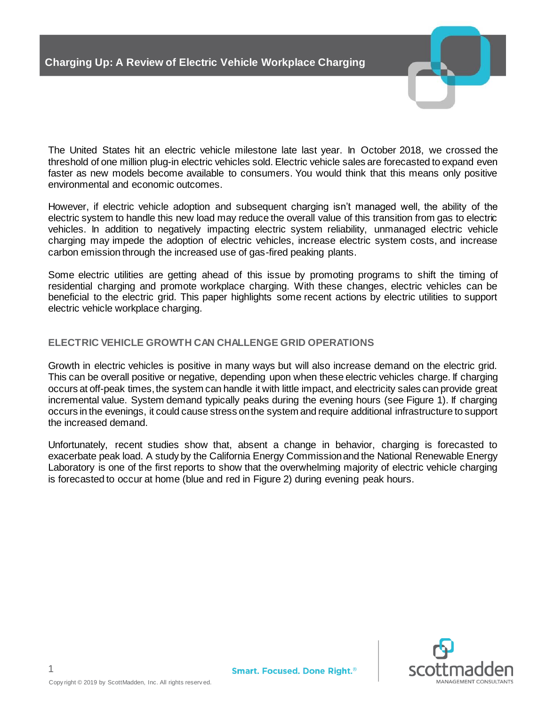

The United States hit an electric vehicle milestone late last year. In October 2018, we crossed the threshold of one million plug-in electric vehicles sold. Electric vehicle sales are forecasted to expand even faster as new models become available to consumers. You would think that this means only positive environmental and economic outcomes.

However, if electric vehicle adoption and subsequent charging isn't managed well, the ability of the electric system to handle this new load may reduce the overall value of this transition from gas to electric vehicles. In addition to negatively impacting electric system reliability, unmanaged electric vehicle charging may impede the adoption of electric vehicles, increase electric system costs, and increase carbon emission through the increased use of gas-fired peaking plants.

Some electric utilities are getting ahead of this issue by promoting programs to shift the timing of residential charging and promote workplace charging. With these changes, electric vehicles can be beneficial to the electric grid. This paper highlights some recent actions by electric utilities to support electric vehicle workplace charging.

## **ELECTRIC VEHICLE GROWTH CAN CHALLENGE GRID OPERATIONS**

Growth in electric vehicles is positive in many ways but will also increase demand on the electric grid. This can be overall positive or negative, depending upon when these electric vehicles charge. If charging occurs at off-peak times, the system can handle it with little impact, and electricity sales can provide great incremental value. System demand typically peaks during the evening hours (see Figure 1). If charging occurs in the evenings, it could cause stress on the system and require additional infrastructure to support the increased demand.

Unfortunately, recent studies show that, absent a change in behavior, charging is forecasted to exacerbate peak load. A study by the California Energy Commission and the National Renewable Energy Laboratory is one of the first reports to show that the overwhelming majority of electric vehicle charging is forecasted to occur at home (blue and red in Figure 2) during evening peak hours.



1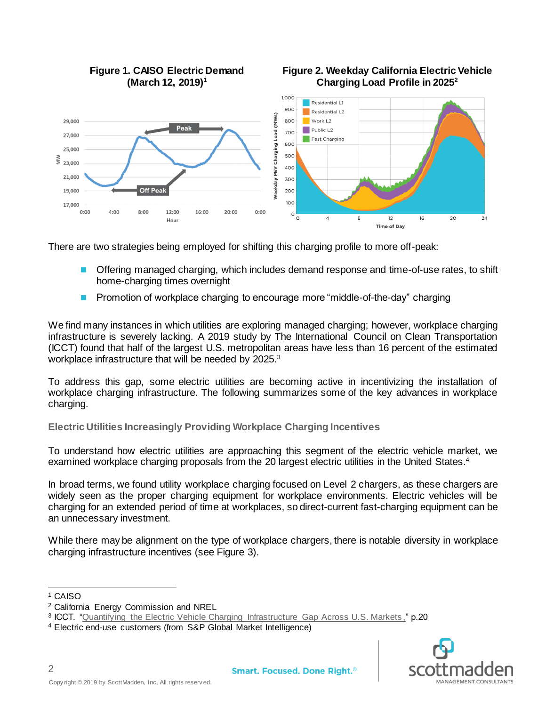

There are two strategies being employed for shifting this charging profile to more off-peak:

- Offering managed charging, which includes demand response and time-of-use rates, to shift home-charging times overnight
- Promotion of workplace charging to encourage more "middle-of-the-day" charging

We find many instances in which utilities are exploring managed charging; however, workplace charging infrastructure is severely lacking. A 2019 study by The International Council on Clean Transportation (ICCT) found that half of the largest U.S. metropolitan areas have less than 16 percent of the estimated workplace infrastructure that will be needed by 2025.<sup>3</sup>

To address this gap, some electric utilities are becoming active in incentivizing the installation of workplace charging infrastructure. The following summarizes some of the key advances in workplace charging.

**Electric Utilities Increasingly Providing Workplace Charging Incentives**

To understand how electric utilities are approaching this segment of the electric vehicle market, we examined workplace charging proposals from the 20 largest electric utilities in the United States.<sup>4</sup>

In broad terms, we found utility workplace charging focused on Level 2 chargers, as these chargers are widely seen as the proper charging equipment for workplace environments. Electric vehicles will be charging for an extended period of time at workplaces, so direct-current fast-charging equipment can be an unnecessary investment.

While there may be alignment on the type of workplace chargers, there is notable diversity in workplace charging infrastructure incentives (see Figure 3).

2

 $\overline{a}$ 



<sup>1</sup> CAISO

<sup>2</sup> California Energy Commission and NREL

<sup>&</sup>lt;sup>3</sup> ICCT. ["Quantifying the Electric Vehicle Charging Infrastructure Gap Across U.S. Markets](https://scottmadden.imeetcentral.com/p/aQAAAAADydrf)," p.20

<sup>4</sup> Electric end-use customers (from S&P Global Market Intelligence)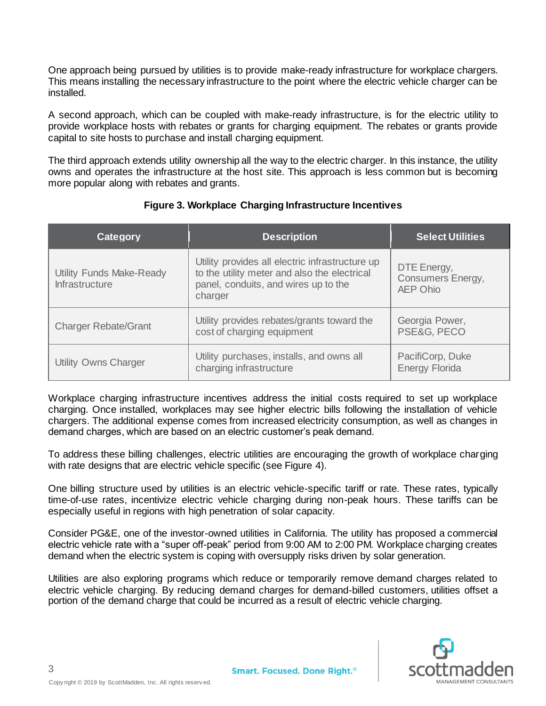One approach being pursued by utilities is to provide make-ready infrastructure for workplace chargers. This means installing the necessary infrastructure to the point where the electric vehicle charger can be installed.

A second approach, which can be coupled with make-ready infrastructure, is for the electric utility to provide workplace hosts with rebates or grants for charging equipment. The rebates or grants provide capital to site hosts to purchase and install charging equipment.

The third approach extends utility ownership all the way to the electric charger. In this instance, the utility owns and operates the infrastructure at the host site. This approach is less common but is becoming more popular along with rebates and grants.

| Category                                                 | <b>Description</b>                                                                                                                                 | <b>Select Utilities</b>                                    |
|----------------------------------------------------------|----------------------------------------------------------------------------------------------------------------------------------------------------|------------------------------------------------------------|
| <b>Utility Funds Make-Ready</b><br><b>Infrastructure</b> | Utility provides all electric infrastructure up<br>to the utility meter and also the electrical<br>panel, conduits, and wires up to the<br>charger | DTE Energy,<br><b>Consumers Energy,</b><br><b>AEP Ohio</b> |
| <b>Charger Rebate/Grant</b>                              | Utility provides rebates/grants toward the<br>cost of charging equipment                                                                           | Georgia Power,<br>PSE&G, PECO                              |
| <b>Utility Owns Charger</b>                              | Utility purchases, installs, and owns all<br>charging infrastructure                                                                               | PacifiCorp, Duke<br><b>Energy Florida</b>                  |

# **Figure 3. Workplace Charging Infrastructure Incentives**

Workplace charging infrastructure incentives address the initial costs required to set up workplace charging. Once installed, workplaces may see higher electric bills following the installation of vehicle chargers. The additional expense comes from increased electricity consumption, as well as changes in demand charges, which are based on an electric customer's peak demand.

To address these billing challenges, electric utilities are encouraging the growth of workplace charging with rate designs that are electric vehicle specific (see Figure 4).

One billing structure used by utilities is an electric vehicle-specific tariff or rate. These rates, typically time-of-use rates, incentivize electric vehicle charging during non-peak hours. These tariffs can be especially useful in regions with high penetration of solar capacity.

Consider PG&E, one of the investor-owned utilities in California. The utility has proposed a commercial electric vehicle rate with a "super off-peak" period from 9:00 AM to 2:00 PM. Workplace charging creates demand when the electric system is coping with oversupply risks driven by solar generation.

Utilities are also exploring programs which reduce or temporarily remove demand charges related to electric vehicle charging. By reducing demand charges for demand-billed customers, utilities offset a portion of the demand charge that could be incurred as a result of electric vehicle charging.



3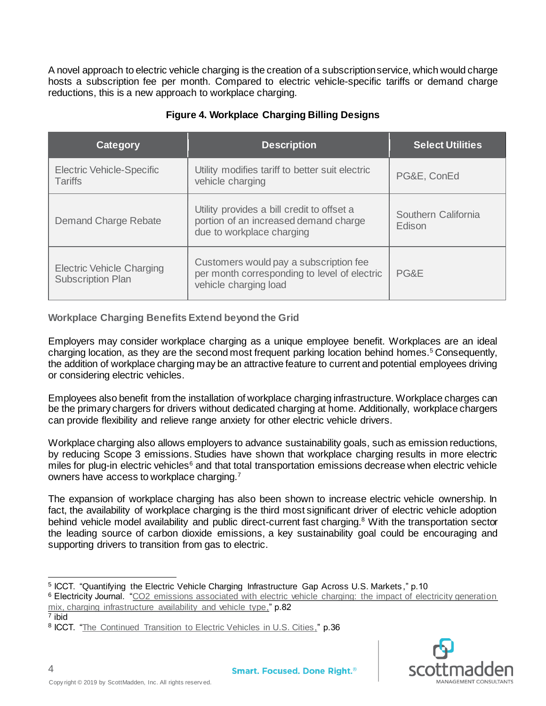A novel approach to electric vehicle charging is the creation of a subscription service, which would charge hosts a subscription fee per month. Compared to electric vehicle-specific tariffs or demand charge reductions, this is a new approach to workplace charging.

| Category                                                     | <b>Description</b>                                                                                               | <b>Select Utilities</b>       |
|--------------------------------------------------------------|------------------------------------------------------------------------------------------------------------------|-------------------------------|
| <b>Electric Vehicle-Specific</b><br><b>Tariffs</b>           | Utility modifies tariff to better suit electric<br>vehicle charging                                              | PG&E, ConEd                   |
| Demand Charge Rebate                                         | Utility provides a bill credit to offset a<br>portion of an increased demand charge<br>due to workplace charging | Southern California<br>Edison |
| <b>Electric Vehicle Charging</b><br><b>Subscription Plan</b> | Customers would pay a subscription fee<br>per month corresponding to level of electric<br>vehicle charging load  | PG&E                          |

# **Figure 4. Workplace Charging Billing Designs**

### **Workplace Charging Benefits Extend beyond the Grid**

Employers may consider workplace charging as a unique employee benefit. Workplaces are an ideal charging location, as they are the second most frequent parking location behind homes.<sup>5</sup> Consequently, the addition of workplace charging may be an attractive feature to current and potential employees driving or considering electric vehicles.

Employees also benefit from the installation of workplace charging infrastructure. Workplace charges can be the primary chargers for drivers without dedicated charging at home. Additionally, workplace chargers can provide flexibility and relieve range anxiety for other electric vehicle drivers.

Workplace charging also allows employers to advance sustainability goals, such as emission reductions, by reducing Scope 3 emissions. Studies have shown that workplace charging results in more electric miles for plug-in electric vehicles<sup>6</sup> and that total transportation emissions decrease when electric vehicle owners have access to workplace charging.<sup>7</sup>

The expansion of workplace charging has also been shown to increase electric vehicle ownership. In fact, the availability of workplace charging is the third most significant driver of electric vehicle adoption behind vehicle model availability and public direct-current fast charging.<sup>8</sup> With the transportation sector the leading source of carbon dioxide emissions, a key sustainability goal could be encouraging and supporting drivers to transition from gas to electric.

7 ibid

 $\overline{a}$ 



<sup>&</sup>lt;sup>5</sup> ICCT. "Quantifying the Electric Vehicle Charging Infrastructure Gap Across U.S. Markets," p.10

<sup>6</sup> Electricity Journal. ["CO2 emissions associated with electric vehicle charging: the impact of electricity generation](https://scottmadden.imeetcentral.com/p/aQAAAAADycK1)  [mix, charging infrastructure availability and vehicle type,](https://scottmadden.imeetcentral.com/p/aQAAAAADycK1)" p.82

<sup>&</sup>lt;sup>8</sup> ICCT. "The Continued [Transition to Electric Vehicles in U.S. Cities,](https://scottmadden.imeetcentral.com/p/aQAAAAADyeG0)" p.36